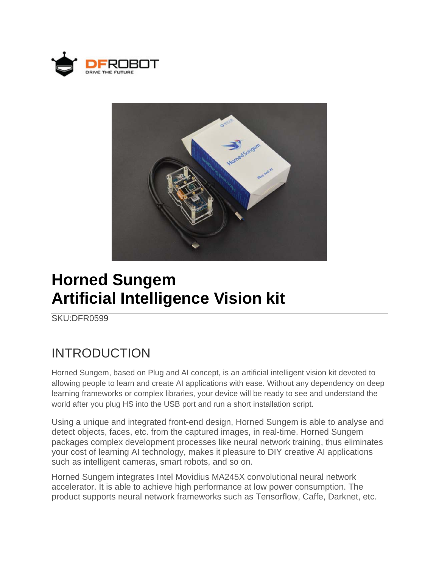



## **Horned Sungem Artificial Intelligence Vision kit**

SKU:DFR0599

## INTRODUCTION

Horned Sungem, based on Plug and AI concept, is an artificial intelligent vision kit devoted to allowing people to learn and create AI applications with ease. Without any dependency on deep learning frameworks or complex libraries, your device will be ready to see and understand the world after you plug HS into the USB port and run a short installation script.

Using a unique and integrated front-end design, Horned Sungem is able to analyse and detect objects, faces, etc. from the captured images, in real-time. Horned Sungem packages complex development processes like neural network training, thus eliminates your cost of learning AI technology, makes it pleasure to DIY creative AI applications such as intelligent cameras, smart robots, and so on.

Horned Sungem integrates Intel Movidius MA245X convolutional neural network accelerator. It is able to achieve high performance at low power consumption. The product supports neural network frameworks such as Tensorflow, Caffe, Darknet, etc.